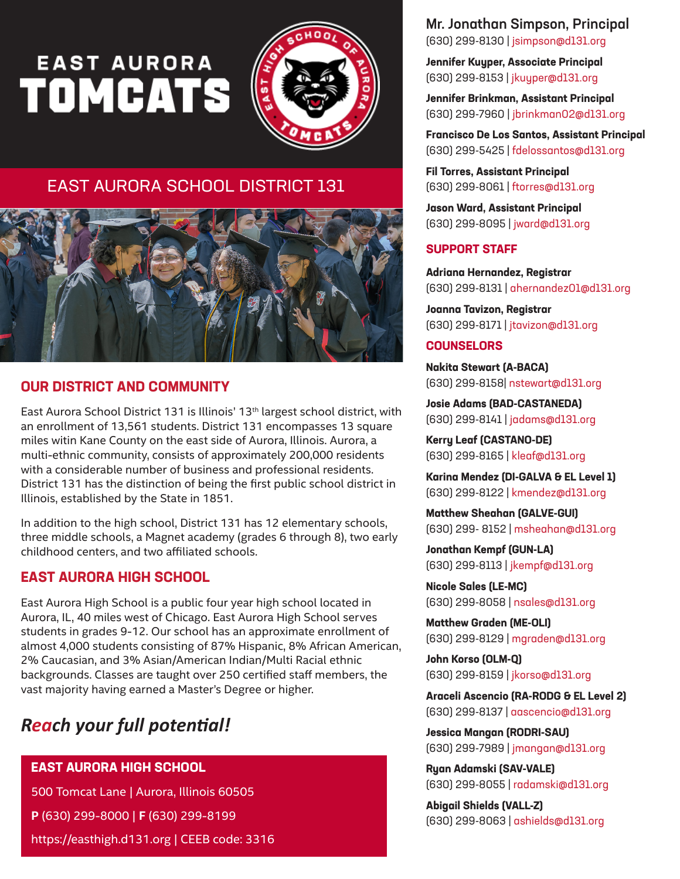# EAST AURORA



# EAST AURORA SCHOOL DISTRICT 131



## **OUR DISTRICT AND COMMUNITY**

East Aurora School District 131 is Illinois' 13<sup>th</sup> largest school district, with an enrollment of 13,561 students. District 131 encompasses 13 square miles witin Kane County on the east side of Aurora, Illinois. Aurora, a multi-ethnic community, consists of approximately 200,000 residents with a considerable number of business and professional residents. District 131 has the distinction of being the first public school district in Illinois, established by the State in 1851.

In addition to the high school, District 131 has 12 elementary schools, three middle schools, a Magnet academy (grades 6 through 8), two early childhood centers, and two affiliated schools.

## **EAST AURORA HIGH SCHOOL**

East Aurora High School is a public four year high school located in Aurora, IL, 40 miles west of Chicago. East Aurora High School serves students in grades 9-12. Our school has an approximate enrollment of almost 4,000 students consisting of 87% Hispanic, 8% African American, 2% Caucasian, and 3% Asian/American Indian/Multi Racial ethnic backgrounds. Classes are taught over 250 certified staff members, the vast majority having earned a Master's Degree or higher.

# *Reach your full potential!*

#### **EAST AURORA HIGH SCHOOL**

500 Tomcat Lane | Aurora, Illinois 60505

**P** (630) 299-8000 | **F** (630) 299-8199

https://easthigh.d131.org | CEEB code: 3316

Mr. Jonathan Simpson, Principal (630) 299-8130 | jsimpson@d131.org

**Jennifer Kuyper, Associate Principal** (630) 299-8153 | jkuyper@d131.org

**Jennifer Brinkman, Assistant Principal** (630) 299-7960 | jbrinkman02@d131.org

**Francisco De Los Santos, Assistant Principal** (630) 299-5425 | fdelossantos@d131.org

**Fil Torres, Assistant Principal** (630) 299-8061 | ftorres@d131.org

**Jason Ward, Assistant Principal** (630) 299-8095 | jward@d131.org

### **SUPPORT STAFF**

**Adriana Hernandez, Registrar** (630) 299-8131 | ahernandez01@d131.org

**Joanna Tavizon, Registrar** (630) 299-8171 | jtavizon@d131.org

#### **COUNSELORS**

**Nakita Stewart (A-BACA)** (630) 299-8158| nstewart@d131.org

**Josie Adams (BAD-CASTANEDA)** (630) 299-8141 | jadams@d131.org

**Kerry Leaf (CASTANO-DE)** (630) 299-8165 | kleaf@d131.org

**Karina Mendez (DI-GALVA & EL Level 1)** (630) 299-8122 | kmendez@d131.org

**Matthew Sheahan (GALVE-GUI)** (630) 299- 8152 | msheahan@d131.org

**Jonathan Kempf (GUN-LA)** (630) 299-8113 | jkempf@d131.org

**Nicole Sales (LE-MC)** (630) 299-8058 | nsales@d131.org

**Matthew Graden (ME-OLI)**  (630) 299-8129 | mgraden@d131.org

**John Korso (OLM-Q)** (630) 299-8159 | jkorso@d131.org

**Araceli Ascencio (RA-RODG & EL Level 2)** (630) 299-8137 | aascencio@d131.org

**Jessica Mangan (RODRI-SAU)** (630) 299-7989 | jmangan@d131.org

**Ryan Adamski (SAV-VALE)** (630) 299-8055 | radamski@d131.org

**Abigail Shields (VALL-Z)** (630) 299-8063 | ashields@d131.org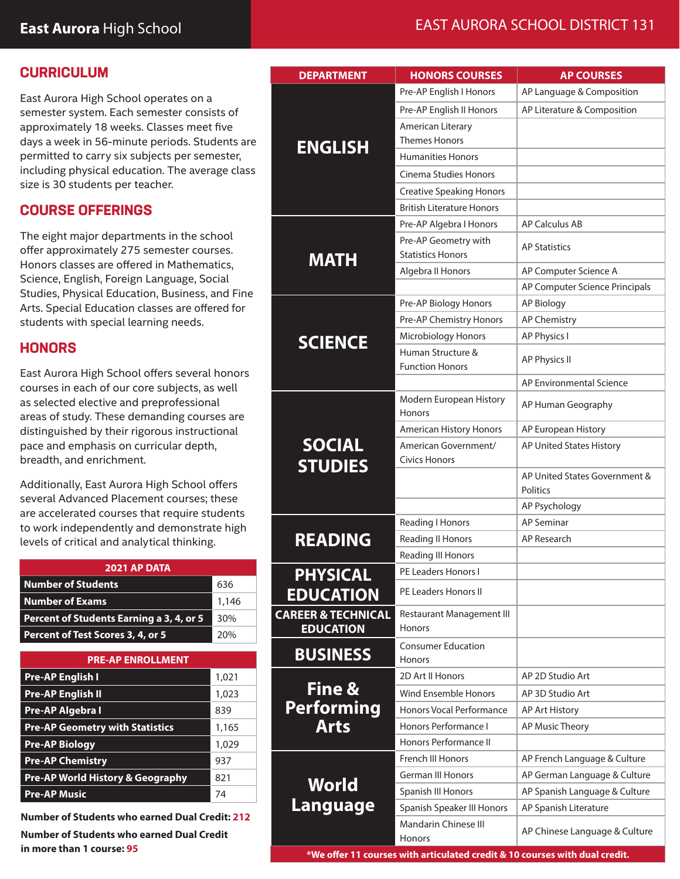## **CURRICULUM**

East Aurora High School operates on a semester system. Each semester consists of approximately 18 weeks. Classes meet five days a week in 56-minute periods. Students are permitted to carry six subjects per semester, including physical education. The average class size is 30 students per teacher.

## **COURSE OFFERINGS**

The eight major departments in the school offer approximately 275 semester courses. Honors classes are offered in Mathematics, Science, English, Foreign Language, Social Studies, Physical Education, Business, and Fine Arts. Special Education classes are offered for students with special learning needs.

## **HONORS**

East Aurora High School offers several honors courses in each of our core subjects, as well as selected elective and preprofessional areas of study. These demanding courses are distinguished by their rigorous instructional pace and emphasis on curricular depth, breadth, and enrichment.

Additionally, East Aurora High School offers several Advanced Placement courses; these are accelerated courses that require students to work independently and demonstrate high levels of critical and analytical thinking.

| <b>2021 AP DATA</b>                      |       |  |
|------------------------------------------|-------|--|
| Number of Students                       | 636   |  |
| Number of Exams                          | 1,146 |  |
| Percent of Students Earning a 3, 4, or 5 | 30%   |  |
| Percent of Test Scores 3, 4, or 5        | 20%   |  |

| <b>PRE-AP ENROLLMENT</b>                    |       |  |
|---------------------------------------------|-------|--|
| <b>Pre-AP English I</b>                     | 1,021 |  |
| <b>Pre-AP English II</b>                    | 1,023 |  |
| Pre-AP Algebra I                            | 839   |  |
| <b>Pre-AP Geometry with Statistics</b>      | 1,165 |  |
| <b>Pre-AP Biology</b>                       | 1,029 |  |
| <b>Pre-AP Chemistry</b>                     | 937   |  |
| <b>Pre-AP World History &amp; Geography</b> | 821   |  |
| <b>Pre-AP Music</b>                         | 74    |  |

**Number of Students who earned Dual Credit: 212 Number of Students who earned Dual Credit in more than 1 course: 95**

# **East Aurora** High School **EAST AURORA SCHOOL DISTRICT 131**

| <b>DEPARTMENT</b>                                 | <b>HONORS COURSES</b>                             | <b>AP COURSES</b>                       |
|---------------------------------------------------|---------------------------------------------------|-----------------------------------------|
|                                                   | Pre-AP English I Honors                           | AP Language & Composition               |
|                                                   | Pre-AP English II Honors                          | AP Literature & Composition             |
|                                                   | American Literary                                 |                                         |
|                                                   | <b>Themes Honors</b>                              |                                         |
| <b>ENGLISH</b>                                    | <b>Humanities Honors</b>                          |                                         |
|                                                   | Cinema Studies Honors                             |                                         |
|                                                   | <b>Creative Speaking Honors</b>                   |                                         |
|                                                   | <b>British Literature Honors</b>                  |                                         |
|                                                   | Pre-AP Algebra I Honors                           | <b>AP Calculus AB</b>                   |
|                                                   | Pre-AP Geometry with                              | <b>AP Statistics</b>                    |
| <b>MATH</b>                                       | <b>Statistics Honors</b>                          |                                         |
|                                                   | Algebra II Honors                                 | AP Computer Science A                   |
|                                                   |                                                   | AP Computer Science Principals          |
|                                                   | Pre-AP Biology Honors                             | <b>AP Biology</b>                       |
|                                                   | Pre-AP Chemistry Honors                           | AP Chemistry                            |
| <b>SCIENCE</b>                                    | Microbiology Honors                               | AP Physics I                            |
|                                                   | Human Structure &                                 | AP Physics II                           |
|                                                   | <b>Function Honors</b>                            |                                         |
|                                                   |                                                   | AP Environmental Science                |
|                                                   | Modern European History<br>Honors                 | AP Human Geography                      |
|                                                   | American History Honors                           | AP European History                     |
| <b>SOCIAL</b>                                     | American Government/                              | AP United States History                |
| <b>STUDIES</b>                                    | <b>Civics Honors</b>                              |                                         |
|                                                   |                                                   | AP United States Government &           |
|                                                   |                                                   | Politics                                |
|                                                   |                                                   | AP Psychology                           |
|                                                   | <b>Reading I Honors</b>                           | <b>AP Seminar</b><br><b>AP Research</b> |
| <b>READING</b>                                    | Reading II Honors                                 |                                         |
|                                                   | <b>Reading III Honors</b><br>PE Leaders Honors I  |                                         |
| <b>PHYSICAL</b>                                   |                                                   |                                         |
| <b>EDUCATION</b>                                  | PE Leaders Honors II                              |                                         |
| <b>CAREER &amp; TECHNICAL</b><br><b>EDUCATION</b> | <b>Restaurant Management III</b><br><b>Honors</b> |                                         |
|                                                   | <b>Consumer Education</b>                         |                                         |
| <b>BUSINESS</b>                                   | <b>Honors</b>                                     |                                         |
|                                                   | 2D Art II Honors                                  | AP 2D Studio Art                        |
| Fine &                                            | <b>Wind Ensemble Honors</b>                       | AP 3D Studio Art                        |
| Performing                                        | <b>Honors Vocal Performance</b>                   | AP Art History                          |
| <b>Arts</b>                                       | Honors Performance I                              | AP Music Theory                         |
|                                                   | Honors Performance II                             |                                         |
|                                                   | French III Honors                                 | AP French Language & Culture            |
|                                                   | <b>German III Honors</b>                          | AP German Language & Culture            |
| World                                             | Spanish III Honors                                | AP Spanish Language & Culture           |
| Language                                          | Spanish Speaker III Honors                        | AP Spanish Literature                   |
|                                                   | <b>Mandarin Chinese III</b>                       | AP Chinese Language & Culture           |
|                                                   | Honors                                            |                                         |

**\*We offer 11 courses with articulated credit & 10 courses with dual credit.**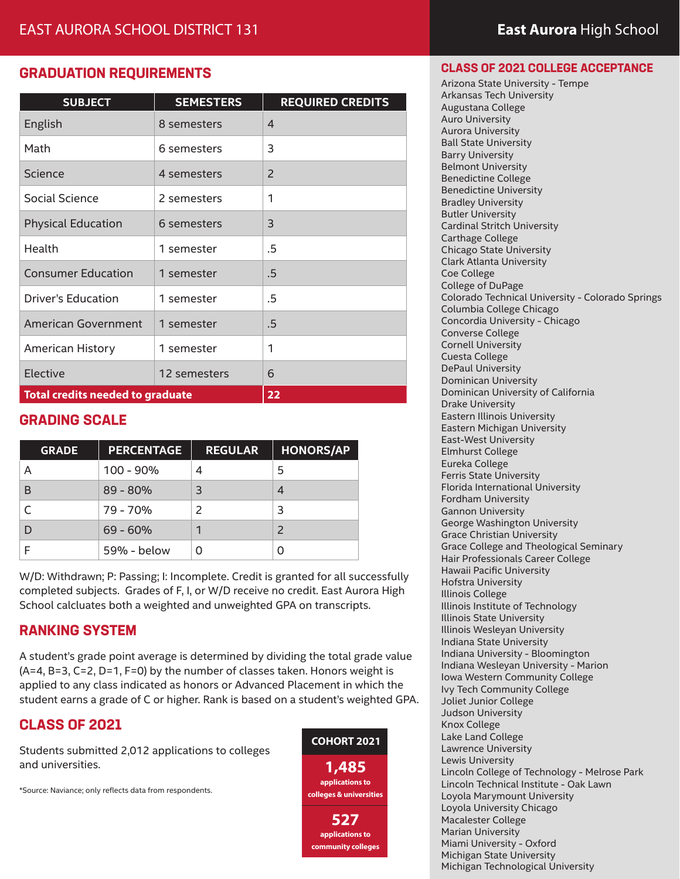## **GRADUATION REQUIREMENTS**

| <b>SUBJECT</b>                          | <b>SEMESTERS</b> | <b>REQUIRED CREDITS</b> |
|-----------------------------------------|------------------|-------------------------|
| English                                 | 8 semesters      | 4                       |
| Math                                    | 6 semesters      | 3                       |
| Science                                 | 4 semesters      | 2                       |
| Social Science                          | 2 semesters      | 1                       |
| <b>Physical Education</b>               | 6 semesters      | 3                       |
| Health                                  | 1 semester       | .5                      |
| <b>Consumer Education</b>               | 1 semester       | .5                      |
| Driver's Education                      | 1 semester       | .5                      |
| American Government                     | 1 semester       | .5                      |
| American History                        | 1 semester       | 1                       |
| Elective                                | 12 semesters     | 6                       |
| <b>Total credits needed to graduate</b> |                  | 22                      |

## **GRADING SCALE**

| <b>GRADE</b> | <b>PERCENTAGE</b> | <b>REGULAR</b> | <b>HONORS/AP</b> |
|--------------|-------------------|----------------|------------------|
| А            | $100 - 90\%$      | 4              | 5                |
| B            | $89 - 80%$        | 3              |                  |
|              | 79 - 70%          |                | 3                |
|              | $69 - 60%$        |                |                  |
|              | 59% - below       |                |                  |

W/D: Withdrawn; P: Passing; I: Incomplete. Credit is granted for all successfully completed subjects. Grades of F, I, or W/D receive no credit. East Aurora High School calcluates both a weighted and unweighted GPA on transcripts.

## **RANKING SYSTEM**

A student's grade point average is determined by dividing the total grade value (A=4, B=3, C=2, D=1, F=0) by the number of classes taken. Honors weight is applied to any class indicated as honors or Advanced Placement in which the student earns a grade of C or higher. Rank is based on a student's weighted GPA.

## **CLASS OF 2021**

Students submitted 2,012 applications to colleges and universities.

\*Source: Naviance; only reflects data from respondents.



#### **CLASS OF 2021 COLLEGE ACCEPTANCE**

Arizona State University - Tempe Arkansas Tech University Augustana College Auro University Aurora University Ball State University Barry University Belmont University Benedictine College Benedictine University Bradley University Butler University Cardinal Stritch University Carthage College Chicago State University Clark Atlanta University Coe College College of DuPage Colorado Technical University - Colorado Springs Columbia College Chicago Concordia University - Chicago Converse College Cornell University Cuesta College DePaul University Dominican University Dominican University of California Drake University Eastern Illinois University Eastern Michigan University East-West University Elmhurst College Eureka College Ferris State University Florida International University Fordham University Gannon University George Washington University Grace Christian University Grace College and Theological Seminary Hair Professionals Career College Hawaii Pacific University Hofstra University Illinois College Illinois Institute of Technology Illinois State University Illinois Wesleyan University Indiana State University Indiana University - Bloomington Indiana Wesleyan University - Marion Iowa Western Community College Ivy Tech Community College Joliet Junior College Judson University Knox College Lake Land College Lawrence University Lewis University Lincoln College of Technology - Melrose Park Lincoln Technical Institute - Oak Lawn Loyola Marymount University Loyola University Chicago Macalester College Marian University Miami University - Oxford Michigan State University Michigan Technological University